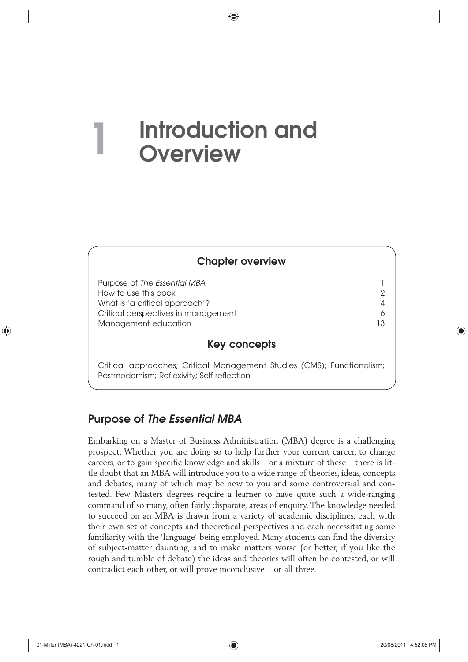# **Introduction and Overview 1**

♠

### **Chapter overview**

Purpose of The Essential MBA 1 How to use this book 2 What is 'a critical approach'? 4 Critical perspectives in management 6 Management education and the state of the state of the state of the state of the state of the state of the state of the state of the state of the state of the state of the state of the state of the state of the state of th

### **Key concepts**

Critical approaches; Critical Management Studies (CMS); Functionalism; Postmodernism; Reflexivity; Self-reflection

# **Purpose of** *The Essential MBA*

Embarking on a Master of Business Administration (MBA) degree is a challenging prospect. Whether you are doing so to help further your current career, to change careers, or to gain specific knowledge and skills – or a mixture of these – there is little doubt that an MBA will introduce you to a wide range of theories, ideas, concepts and debates, many of which may be new to you and some controversial and contested. Few Masters degrees require a learner to have quite such a wide-ranging command of so many, often fairly disparate, areas of enquiry. The knowledge needed to succeed on an MBA is drawn from a variety of academic disciplines, each with their own set of concepts and theoretical perspectives and each necessitating some familiarity with the 'language' being employed. Many students can find the diversity of subject-matter daunting, and to make matters worse (or better, if you like the rough and tumble of debate) the ideas and theories will often be contested, or will contradict each other, or will prove inconclusive – or all three.

♠

♠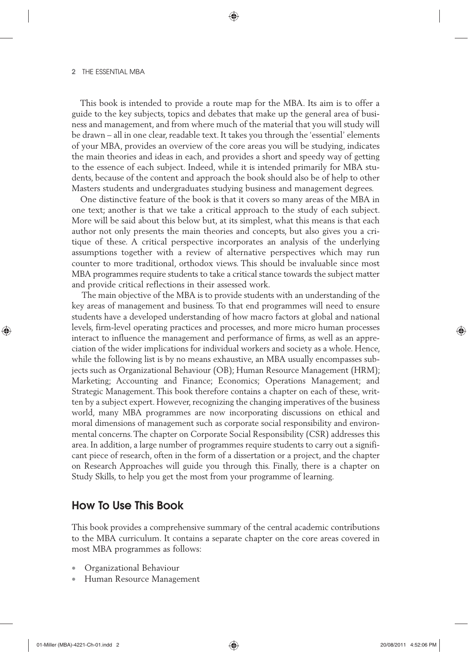This book is intended to provide a route map for the MBA. Its aim is to offer a guide to the key subjects, topics and debates that make up the general area of business and management, and from where much of the material that you will study will be drawn – all in one clear, readable text. It takes you through the 'essential' elements of your MBA, provides an overview of the core areas you will be studying, indicates the main theories and ideas in each, and provides a short and speedy way of getting to the essence of each subject. Indeed, while it is intended primarily for MBA students, because of the content and approach the book should also be of help to other Masters students and undergraduates studying business and management degrees.

♠

One distinctive feature of the book is that it covers so many areas of the MBA in one text; another is that we take a critical approach to the study of each subject. More will be said about this below but, at its simplest, what this means is that each author not only presents the main theories and concepts, but also gives you a critique of these. A critical perspective incorporates an analysis of the underlying assumptions together with a review of alternative perspectives which may run counter to more traditional, orthodox views. This should be invaluable since most MBA programmes require students to take a critical stance towards the subject matter and provide critical reflections in their assessed work.

 The main objective of the MBA is to provide students with an understanding of the key areas of management and business. To that end programmes will need to ensure students have a developed understanding of how macro factors at global and national levels, firm-level operating practices and processes, and more micro human processes interact to influence the management and performance of firms, as well as an appreciation of the wider implications for individual workers and society as a whole. Hence, while the following list is by no means exhaustive, an MBA usually encompasses subjects such as Organizational Behaviour (OB); Human Resource Management (HRM); Marketing; Accounting and Finance; Economics; Operations Management; and Strategic Management. This book therefore contains a chapter on each of these, written by a subject expert. However, recognizing the changing imperatives of the business world, many MBA programmes are now incorporating discussions on ethical and moral dimensions of management such as corporate social responsibility and environmental concerns. The chapter on Corporate Social Responsibility (CSR) addresses this area. In addition, a large number of programmes require students to carry out a significant piece of research, often in the form of a dissertation or a project, and the chapter on Research Approaches will guide you through this. Finally, there is a chapter on Study Skills, to help you get the most from your programme of learning.

### **How To Use This Book**

This book provides a comprehensive summary of the central academic contributions to the MBA curriculum. It contains a separate chapter on the core areas covered in most MBA programmes as follows:

- Organizational Behaviour
- Human Resource Management

◈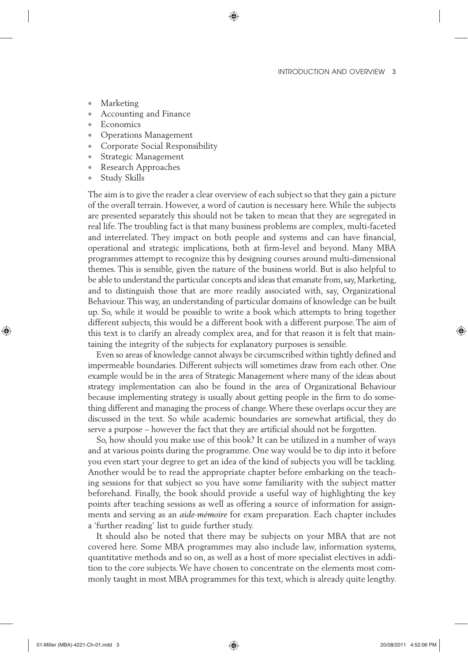INTRODUCTION AND OVERVIEW **3**

- Marketing
- Accounting and Finance
- Economics
- Operations Management
- Corporate Social Responsibility
- Strategic Management
- Research Approaches
- Study Skills

The aim is to give the reader a clear overview of each subject so that they gain a picture of the overall terrain. However, a word of caution is necessary here. While the subjects are presented separately this should not be taken to mean that they are segregated in real life. The troubling fact is that many business problems are complex, multi-faceted and interrelated. They impact on both people and systems and can have financial, operational and strategic implications, both at firm-level and beyond. Many MBA programmes attempt to recognize this by designing courses around multi-dimensional themes. This is sensible, given the nature of the business world. But is also helpful to be able to understand the particular concepts and ideas that emanate from, say, Marketing, and to distinguish those that are more readily associated with, say, Organizational Behaviour. This way, an understanding of particular domains of knowledge can be built up. So, while it would be possible to write a book which attempts to bring together different subjects, this would be a different book with a different purpose. The aim of this text is to clarify an already complex area, and for that reason it is felt that maintaining the integrity of the subjects for explanatory purposes is sensible.

♠

Even so areas of knowledge cannot always be circumscribed within tightly defined and impermeable boundaries. Different subjects will sometimes draw from each other. One example would be in the area of Strategic Management where many of the ideas about strategy implementation can also be found in the area of Organizational Behaviour because implementing strategy is usually about getting people in the firm to do something different and managing the process of change. Where these overlaps occur they are discussed in the text. So while academic boundaries are somewhat artificial, they do serve a purpose – however the fact that they are artificial should not be forgotten.

So, how should you make use of this book? It can be utilized in a number of ways and at various points during the programme. One way would be to dip into it before you even start your degree to get an idea of the kind of subjects you will be tackling. Another would be to read the appropriate chapter before embarking on the teaching sessions for that subject so you have some familiarity with the subject matter beforehand. Finally, the book should provide a useful way of highlighting the key points after teaching sessions as well as offering a source of information for assignments and serving as an *aide-mémoire* for exam preparation. Each chapter includes a 'further reading' list to guide further study.

It should also be noted that there may be subjects on your MBA that are not covered here. Some MBA programmes may also include law, information systems, quantitative methods and so on, as well as a host of more specialist electives in addition to the core subjects. We have chosen to concentrate on the elements most commonly taught in most MBA programmes for this text, which is already quite lengthy.

♠

◈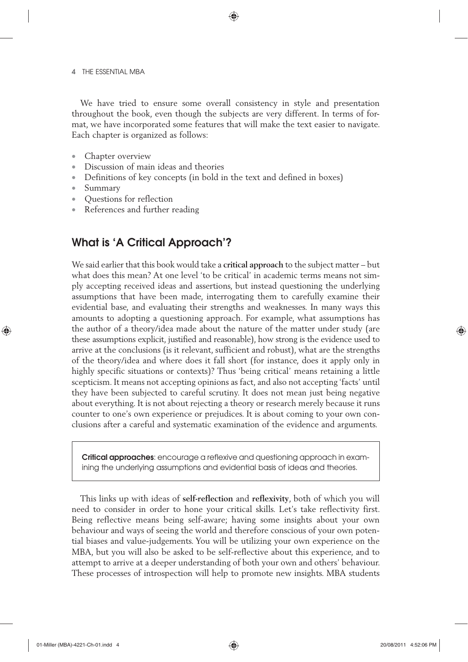We have tried to ensure some overall consistency in style and presentation throughout the book, even though the subjects are very different. In terms of format, we have incorporated some features that will make the text easier to navigate. Each chapter is organized as follows:

◈

- Chapter overview
- Discussion of main ideas and theories
- v Definitions of key concepts (in bold in the text and defined in boxes)
- Summary

♠

- Questions for reflection
- References and further reading

# **What is 'A Critical Approach'?**

We said earlier that this book would take a **critical approach** to the subject matter – but what does this mean? At one level 'to be critical' in academic terms means not simply accepting received ideas and assertions, but instead questioning the underlying assumptions that have been made, interrogating them to carefully examine their evidential base, and evaluating their strengths and weaknesses. In many ways this amounts to adopting a questioning approach. For example, what assumptions has the author of a theory/idea made about the nature of the matter under study (are these assumptions explicit, justified and reasonable), how strong is the evidence used to arrive at the conclusions (is it relevant, sufficient and robust), what are the strengths of the theory/idea and where does it fall short (for instance, does it apply only in highly specific situations or contexts)? Thus 'being critical' means retaining a little scepticism. It means not accepting opinions as fact, and also not accepting 'facts' until they have been subjected to careful scrutiny. It does not mean just being negative about everything. It is not about rejecting a theory or research merely because it runs counter to one's own experience or prejudices. It is about coming to your own conclusions after a careful and systematic examination of the evidence and arguments.

**Critical approaches**: encourage a reflexive and questioning approach in examining the underlying assumptions and evidential basis of ideas and theories.

This links up with ideas of **self-reflection** and **reflexivity**, both of which you will need to consider in order to hone your critical skills. Let's take reflectivity first. Being reflective means being self-aware; having some insights about your own behaviour and ways of seeing the world and therefore conscious of your own potential biases and value-judgements. You will be utilizing your own experience on the MBA, but you will also be asked to be self-reflective about this experience, and to attempt to arrive at a deeper understanding of both your own and others' behaviour. These processes of introspection will help to promote new insights. MBA students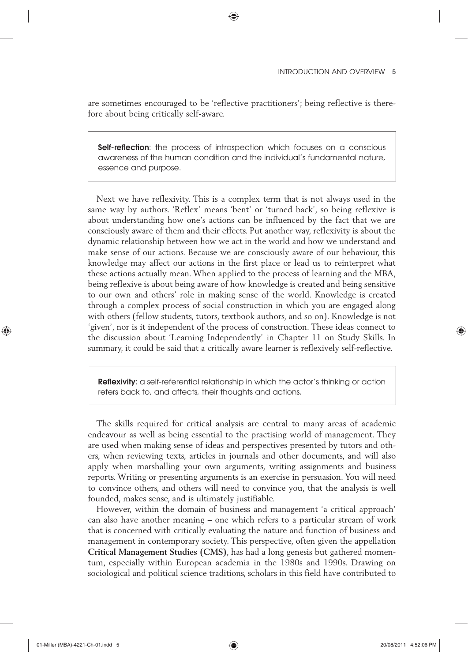are sometimes encouraged to be 'reflective practitioners'; being reflective is therefore about being critically self-aware.

◈

**Self-reflection**: the process of introspection which focuses on a conscious awareness of the human condition and the individual's fundamental nature, essence and purpose.

Next we have reflexivity. This is a complex term that is not always used in the same way by authors. 'Reflex' means 'bent' or 'turned back', so being reflexive is about understanding how one's actions can be influenced by the fact that we are consciously aware of them and their effects. Put another way, reflexivity is about the dynamic relationship between how we act in the world and how we understand and make sense of our actions. Because we are consciously aware of our behaviour, this knowledge may affect our actions in the first place or lead us to reinterpret what these actions actually mean. When applied to the process of learning and the MBA, being reflexive is about being aware of how knowledge is created and being sensitive to our own and others' role in making sense of the world. Knowledge is created through a complex process of social construction in which you are engaged along with others (fellow students, tutors, textbook authors, and so on). Knowledge is not 'given', nor is it independent of the process of construction. These ideas connect to the discussion about 'Learning Independently' in Chapter 11 on Study Skills. In summary, it could be said that a critically aware learner is reflexively self-reflective.

**Reflexivity**: a self-referential relationship in which the actor's thinking or action refers back to, and affects, their thoughts and actions.

The skills required for critical analysis are central to many areas of academic endeavour as well as being essential to the practising world of management. They are used when making sense of ideas and perspectives presented by tutors and others, when reviewing texts, articles in journals and other documents, and will also apply when marshalling your own arguments, writing assignments and business reports. Writing or presenting arguments is an exercise in persuasion. You will need to convince others, and others will need to convince you, that the analysis is well founded, makes sense, and is ultimately justifiable.

However, within the domain of business and management 'a critical approach' can also have another meaning – one which refers to a particular stream of work that is concerned with critically evaluating the nature and function of business and management in contemporary society. This perspective, often given the appellation **Critical Management Studies (CMS)**, has had a long genesis but gathered momentum, especially within European academia in the 1980s and 1990s. Drawing on sociological and political science traditions, scholars in this field have contributed to

01-Miller (MBA)-4221-Ch-01.indd 5 20/08/2011 4:52:06 PM

⊕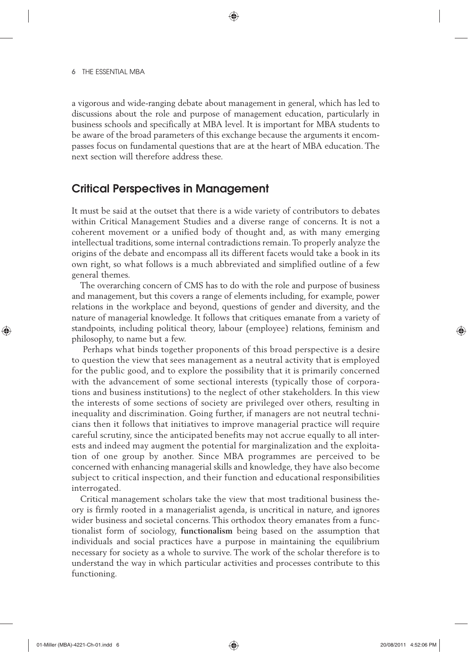a vigorous and wide-ranging debate about management in general, which has led to discussions about the role and purpose of management education, particularly in business schools and specifically at MBA level. It is important for MBA students to be aware of the broad parameters of this exchange because the arguments it encompasses focus on fundamental questions that are at the heart of MBA education. The next section will therefore address these.

♠

# **Critical Perspectives in Management**

It must be said at the outset that there is a wide variety of contributors to debates within Critical Management Studies and a diverse range of concerns. It is not a coherent movement or a unified body of thought and, as with many emerging intellectual traditions, some internal contradictions remain. To properly analyze the origins of the debate and encompass all its different facets would take a book in its own right, so what follows is a much abbreviated and simplified outline of a few general themes.

The overarching concern of CMS has to do with the role and purpose of business and management, but this covers a range of elements including, for example, power relations in the workplace and beyond, questions of gender and diversity, and the nature of managerial knowledge. It follows that critiques emanate from a variety of standpoints, including political theory, labour (employee) relations, feminism and philosophy, to name but a few.

 Perhaps what binds together proponents of this broad perspective is a desire to question the view that sees management as a neutral activity that is employed for the public good, and to explore the possibility that it is primarily concerned with the advancement of some sectional interests (typically those of corporations and business institutions) to the neglect of other stakeholders. In this view the interests of some sections of society are privileged over others, resulting in inequality and discrimination. Going further, if managers are not neutral technicians then it follows that initiatives to improve managerial practice will require careful scrutiny, since the anticipated benefits may not accrue equally to all interests and indeed may augment the potential for marginalization and the exploitation of one group by another. Since MBA programmes are perceived to be concerned with enhancing managerial skills and knowledge, they have also become subject to critical inspection, and their function and educational responsibilities interrogated.

Critical management scholars take the view that most traditional business theory is firmly rooted in a managerialist agenda, is uncritical in nature, and ignores wider business and societal concerns. This orthodox theory emanates from a functionalist form of sociology, **functionalism** being based on the assumption that individuals and social practices have a purpose in maintaining the equilibrium necessary for society as a whole to survive. The work of the scholar therefore is to understand the way in which particular activities and processes contribute to this functioning.

♠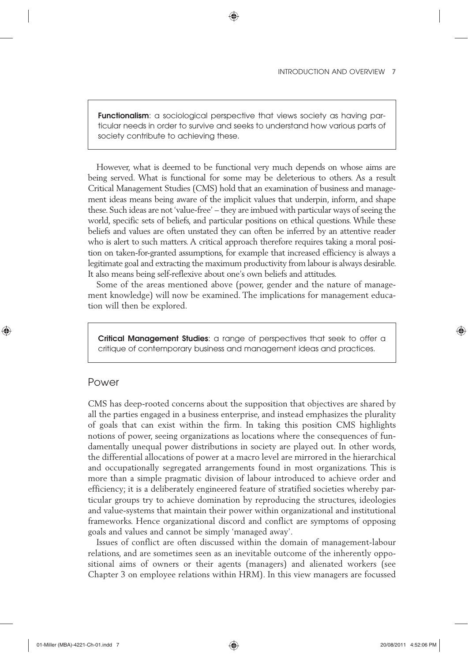**Functionalism**: a sociological perspective that views society as having particular needs in order to survive and seeks to understand how various parts of society contribute to achieving these.

◈

However, what is deemed to be functional very much depends on whose aims are being served. What is functional for some may be deleterious to others. As a result Critical Management Studies (CMS) hold that an examination of business and management ideas means being aware of the implicit values that underpin, inform, and shape these. Such ideas are not 'value-free' – they are imbued with particular ways of seeing the world, specific sets of beliefs, and particular positions on ethical questions. While these beliefs and values are often unstated they can often be inferred by an attentive reader who is alert to such matters. A critical approach therefore requires taking a moral position on taken-for-granted assumptions, for example that increased efficiency is always a legitimate goal and extracting the maximum productivity from labour is always desirable. It also means being self-reflexive about one's own beliefs and attitudes.

Some of the areas mentioned above (power, gender and the nature of management knowledge) will now be examined. The implications for management education will then be explored.

**Critical Management Studies**: a range of perspectives that seek to offer a critique of contemporary business and management ideas and practices.

### Power

⊕

CMS has deep-rooted concerns about the supposition that objectives are shared by all the parties engaged in a business enterprise, and instead emphasizes the plurality of goals that can exist within the firm. In taking this position CMS highlights notions of power, seeing organizations as locations where the consequences of fundamentally unequal power distributions in society are played out. In other words, the differential allocations of power at a macro level are mirrored in the hierarchical and occupationally segregated arrangements found in most organizations. This is more than a simple pragmatic division of labour introduced to achieve order and efficiency; it is a deliberately engineered feature of stratified societies whereby particular groups try to achieve domination by reproducing the structures, ideologies and value-systems that maintain their power within organizational and institutional frameworks. Hence organizational discord and conflict are symptoms of opposing goals and values and cannot be simply 'managed away'.

Issues of conflict are often discussed within the domain of management-labour relations, and are sometimes seen as an inevitable outcome of the inherently oppositional aims of owners or their agents (managers) and alienated workers (see Chapter 3 on employee relations within HRM). In this view managers are focussed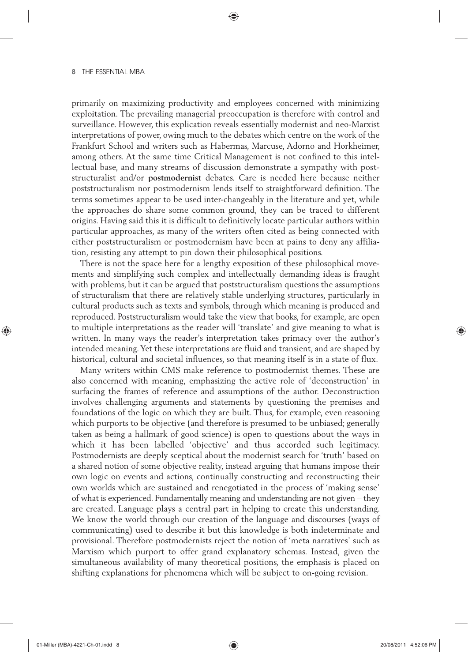primarily on maximizing productivity and employees concerned with minimizing exploitation. The prevailing managerial preoccupation is therefore with control and surveillance. However, this explication reveals essentially modernist and neo-Marxist interpretations of power, owing much to the debates which centre on the work of the Frankfurt School and writers such as Habermas, Marcuse, Adorno and Horkheimer, among others. At the same time Critical Management is not confined to this intellectual base, and many streams of discussion demonstrate a sympathy with poststructuralist and/or **postmodernist** debates. Care is needed here because neither poststructuralism nor postmodernism lends itself to straightforward definition. The terms sometimes appear to be used inter-changeably in the literature and yet, while the approaches do share some common ground, they can be traced to different origins. Having said this it is difficult to definitively locate particular authors within particular approaches, as many of the writers often cited as being connected with either poststructuralism or postmodernism have been at pains to deny any affiliation, resisting any attempt to pin down their philosophical positions.

♠

There is not the space here for a lengthy exposition of these philosophical movements and simplifying such complex and intellectually demanding ideas is fraught with problems, but it can be argued that poststructuralism questions the assumptions of structuralism that there are relatively stable underlying structures, particularly in cultural products such as texts and symbols, through which meaning is produced and reproduced. Poststructuralism would take the view that books, for example, are open to multiple interpretations as the reader will 'translate' and give meaning to what is written. In many ways the reader's interpretation takes primacy over the author's intended meaning. Yet these interpretations are fluid and transient, and are shaped by historical, cultural and societal influences, so that meaning itself is in a state of flux.

Many writers within CMS make reference to postmodernist themes. These are also concerned with meaning, emphasizing the active role of 'deconstruction' in surfacing the frames of reference and assumptions of the author. Deconstruction involves challenging arguments and statements by questioning the premises and foundations of the logic on which they are built. Thus, for example, even reasoning which purports to be objective (and therefore is presumed to be unbiased; generally taken as being a hallmark of good science) is open to questions about the ways in which it has been labelled 'objective' and thus accorded such legitimacy. Postmodernists are deeply sceptical about the modernist search for 'truth' based on a shared notion of some objective reality, instead arguing that humans impose their own logic on events and actions, continually constructing and reconstructing their own worlds which are sustained and renegotiated in the process of 'making sense' of what is experienced. Fundamentally meaning and understanding are not given – they are created. Language plays a central part in helping to create this understanding. We know the world through our creation of the language and discourses (ways of communicating) used to describe it but this knowledge is both indeterminate and provisional. Therefore postmodernists reject the notion of 'meta narratives' such as Marxism which purport to offer grand explanatory schemas. Instead, given the simultaneous availability of many theoretical positions, the emphasis is placed on shifting explanations for phenomena which will be subject to on-going revision.

◈

◈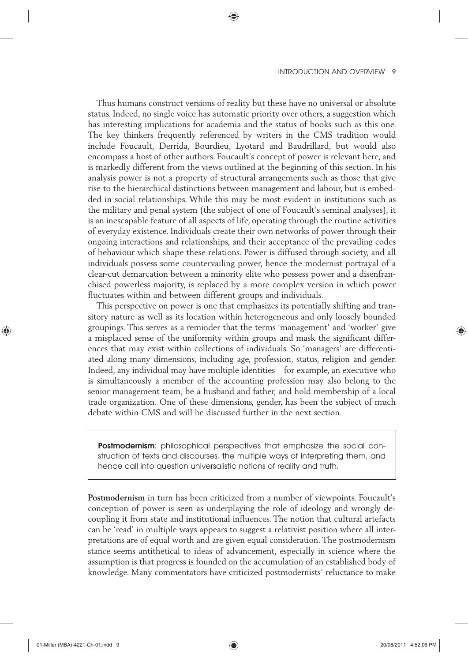INTRODUCTION AND OVERVIEW **9**

Thus humans construct versions of reality but these have no universal or absolute status. Indeed, no single voice has automatic priority over others, a suggestion which has interesting implications for academia and the status of books such as this one. The key thinkers frequently referenced by writers in the CMS tradition would include Foucault, Derrida, Bourdieu, Lyotard and Baudrillard, but would also encompass a host of other authors. Foucault's concept of power is relevant here, and is markedly different from the views outlined at the beginning of this section. In his analysis power is not a property of structural arrangements such as those that give rise to the hierarchical distinctions between management and labour, but is embedded in social relationships. While this may be most evident in institutions such as the military and penal system (the subject of one of Foucault's seminal analyses), it is an inescapable feature of all aspects of life, operating through the routine activities of everyday existence. Individuals create their own networks of power through their ongoing interactions and relationships, and their acceptance of the prevailing codes of behaviour which shape these relations. Power is diffused through society, and all individuals possess some countervailing power, hence the modernist portrayal of a clear-cut demarcation between a minority elite who possess power and a disenfranchised powerless majority, is replaced by a more complex version in which power fluctuates within and between different groups and individuals.

◈

This perspective on power is one that emphasizes its potentially shifting and transitory nature as well as its location within heterogeneous and only loosely bounded groupings. This serves as a reminder that the terms 'management' and 'worker' give a misplaced sense of the uniformity within groups and mask the significant differences that may exist within collections of individuals. So 'managers' are differentiated along many dimensions, including age, profession, status, religion and gender. Indeed, any individual may have multiple identities – for example, an executive who is simultaneously a member of the accounting profession may also belong to the senior management team, be a husband and father, and hold membership of a local trade organization. One of these dimensions, gender, has been the subject of much debate within CMS and will be discussed further in the next section.

**Postmodernism**: philosophical perspectives that emphasize the social construction of texts and discourses, the multiple ways of interpreting them, and hence call into question universalistic notions of reality and truth.

**Postmodernism** in turn has been criticized from a number of viewpoints. Foucault's conception of power is seen as underplaying the role of ideology and wrongly decoupling it from state and institutional influences. The notion that cultural artefacts can be 'read' in multiple ways appears to suggest a relativist position where all interpretations are of equal worth and are given equal consideration. The postmodernism stance seems antithetical to ideas of advancement, especially in science where the assumption is that progress is founded on the accumulation of an established body of knowledge. Many commentators have criticized postmodernists' reluctance to make

⊕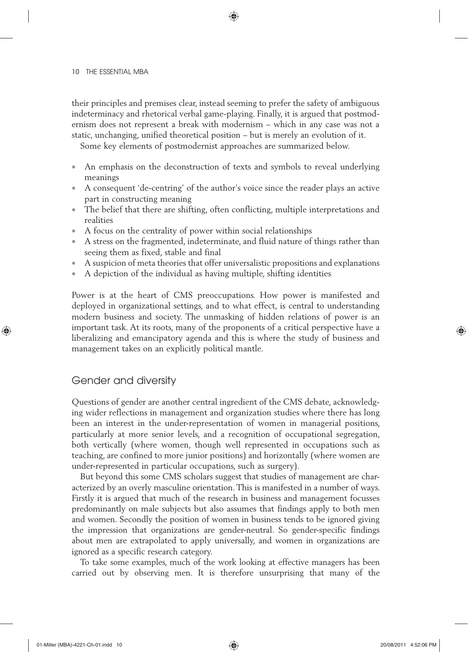their principles and premises clear, instead seeming to prefer the safety of ambiguous indeterminacy and rhetorical verbal game-playing. Finally, it is argued that postmodernism does not represent a break with modernism – which in any case was not a static, unchanging, unified theoretical position – but is merely an evolution of it.

◈

Some key elements of postmodernist approaches are summarized below.

- An emphasis on the deconstruction of texts and symbols to reveal underlying meanings
- A consequent 'de-centring' of the author's voice since the reader plays an active part in constructing meaning
- The belief that there are shifting, often conflicting, multiple interpretations and realities
- A focus on the centrality of power within social relationships
- v A stress on the fragmented, indeterminate, and fluid nature of things rather than seeing them as fixed, stable and final
- A suspicion of meta theories that offer universalistic propositions and explanations
- A depiction of the individual as having multiple, shifting identities

Power is at the heart of CMS preoccupations. How power is manifested and deployed in organizational settings, and to what effect, is central to understanding modern business and society. The unmasking of hidden relations of power is an important task. At its roots, many of the proponents of a critical perspective have a liberalizing and emancipatory agenda and this is where the study of business and management takes on an explicitly political mantle.

### Gender and diversity

♠

Questions of gender are another central ingredient of the CMS debate, acknowledging wider reflections in management and organization studies where there has long been an interest in the under-representation of women in managerial positions, particularly at more senior levels, and a recognition of occupational segregation, both vertically (where women, though well represented in occupations such as teaching, are confined to more junior positions) and horizontally (where women are under-represented in particular occupations, such as surgery).

But beyond this some CMS scholars suggest that studies of management are characterized by an overly masculine orientation. This is manifested in a number of ways. Firstly it is argued that much of the research in business and management focusses predominantly on male subjects but also assumes that findings apply to both men and women. Secondly the position of women in business tends to be ignored giving the impression that organizations are gender-neutral. So gender-specific findings about men are extrapolated to apply universally, and women in organizations are ignored as a specific research category.

To take some examples, much of the work looking at effective managers has been carried out by observing men. It is therefore unsurprising that many of the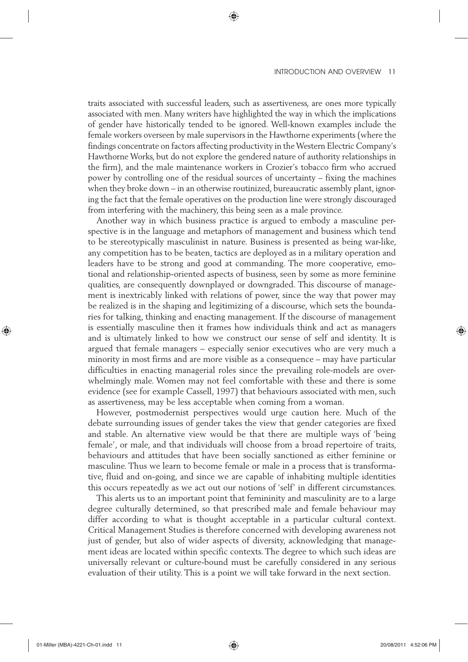#### INTRODUCTION AND OVERVIEW **11**

traits associated with successful leaders, such as assertiveness, are ones more typically associated with men. Many writers have highlighted the way in which the implications of gender have historically tended to be ignored. Well-known examples include the female workers overseen by male supervisors in the Hawthorne experiments (where the findings concentrate on factors affecting productivity in the Western Electric Company's Hawthorne Works, but do not explore the gendered nature of authority relationships in the firm), and the male maintenance workers in Crozier's tobacco firm who accrued power by controlling one of the residual sources of uncertainty – fixing the machines when they broke down – in an otherwise routinized, bureaucratic assembly plant, ignoring the fact that the female operatives on the production line were strongly discouraged from interfering with the machinery, this being seen as a male province.

◈

Another way in which business practice is argued to embody a masculine perspective is in the language and metaphors of management and business which tend to be stereotypically masculinist in nature. Business is presented as being war-like, any competition has to be beaten, tactics are deployed as in a military operation and leaders have to be strong and good at commanding. The more cooperative, emotional and relationship-oriented aspects of business, seen by some as more feminine qualities, are consequently downplayed or downgraded. This discourse of management is inextricably linked with relations of power, since the way that power may be realized is in the shaping and legitimizing of a discourse, which sets the boundaries for talking, thinking and enacting management. If the discourse of management is essentially masculine then it frames how individuals think and act as managers and is ultimately linked to how we construct our sense of self and identity. It is argued that female managers – especially senior executives who are very much a minority in most firms and are more visible as a consequence – may have particular difficulties in enacting managerial roles since the prevailing role-models are overwhelmingly male. Women may not feel comfortable with these and there is some evidence (see for example Cassell, 1997) that behaviours associated with men, such as assertiveness, may be less acceptable when coming from a woman.

However, postmodernist perspectives would urge caution here. Much of the debate surrounding issues of gender takes the view that gender categories are fixed and stable. An alternative view would be that there are multiple ways of 'being female', or male, and that individuals will choose from a broad repertoire of traits, behaviours and attitudes that have been socially sanctioned as either feminine or masculine. Thus we learn to become female or male in a process that is transformative, fluid and on-going, and since we are capable of inhabiting multiple identities this occurs repeatedly as we act out our notions of 'self' in different circumstances.

This alerts us to an important point that femininity and masculinity are to a large degree culturally determined, so that prescribed male and female behaviour may differ according to what is thought acceptable in a particular cultural context. Critical Management Studies is therefore concerned with developing awareness not just of gender, but also of wider aspects of diversity, acknowledging that management ideas are located within specific contexts. The degree to which such ideas are universally relevant or culture-bound must be carefully considered in any serious evaluation of their utility. This is a point we will take forward in the next section.

◈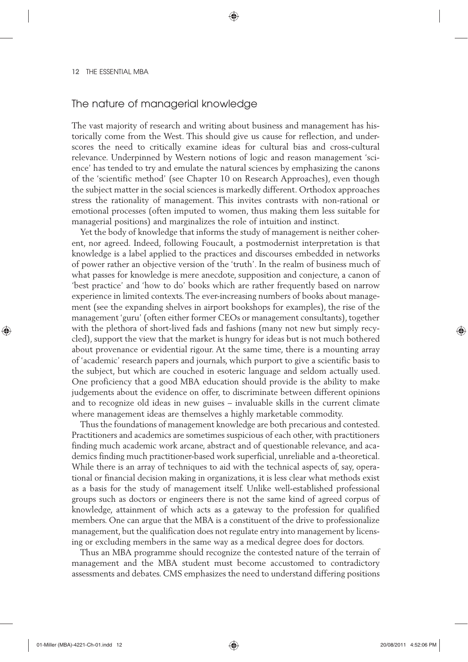### The nature of managerial knowledge

The vast majority of research and writing about business and management has historically come from the West. This should give us cause for reflection, and underscores the need to critically examine ideas for cultural bias and cross-cultural relevance. Underpinned by Western notions of logic and reason management 'science' has tended to try and emulate the natural sciences by emphasizing the canons of the 'scientific method' (see Chapter 10 on Research Approaches), even though the subject matter in the social sciences is markedly different. Orthodox approaches stress the rationality of management. This invites contrasts with non-rational or emotional processes (often imputed to women, thus making them less suitable for managerial positions) and marginalizes the role of intuition and instinct.

♠

Yet the body of knowledge that informs the study of management is neither coherent, nor agreed. Indeed, following Foucault, a postmodernist interpretation is that knowledge is a label applied to the practices and discourses embedded in networks of power rather an objective version of the 'truth'. In the realm of business much of what passes for knowledge is mere anecdote, supposition and conjecture, a canon of 'best practice' and 'how to do' books which are rather frequently based on narrow experience in limited contexts. The ever-increasing numbers of books about management (see the expanding shelves in airport bookshops for examples), the rise of the management 'guru' (often either former CEOs or management consultants), together with the plethora of short-lived fads and fashions (many not new but simply recycled), support the view that the market is hungry for ideas but is not much bothered about provenance or evidential rigour. At the same time, there is a mounting array of 'academic' research papers and journals, which purport to give a scientific basis to the subject, but which are couched in esoteric language and seldom actually used. One proficiency that a good MBA education should provide is the ability to make judgements about the evidence on offer, to discriminate between different opinions and to recognize old ideas in new guises – invaluable skills in the current climate where management ideas are themselves a highly marketable commodity.

Thus the foundations of management knowledge are both precarious and contested. Practitioners and academics are sometimes suspicious of each other, with practitioners finding much academic work arcane, abstract and of questionable relevance, and academics finding much practitioner-based work superficial, unreliable and a-theoretical. While there is an array of techniques to aid with the technical aspects of, say, operational or financial decision making in organizations, it is less clear what methods exist as a basis for the study of management itself. Unlike well-established professional groups such as doctors or engineers there is not the same kind of agreed corpus of knowledge, attainment of which acts as a gateway to the profession for qualified members. One can argue that the MBA is a constituent of the drive to professionalize management, but the qualification does not regulate entry into management by licensing or excluding members in the same way as a medical degree does for doctors.

Thus an MBA programme should recognize the contested nature of the terrain of management and the MBA student must become accustomed to contradictory assessments and debates. CMS emphasizes the need to understand differing positions

◈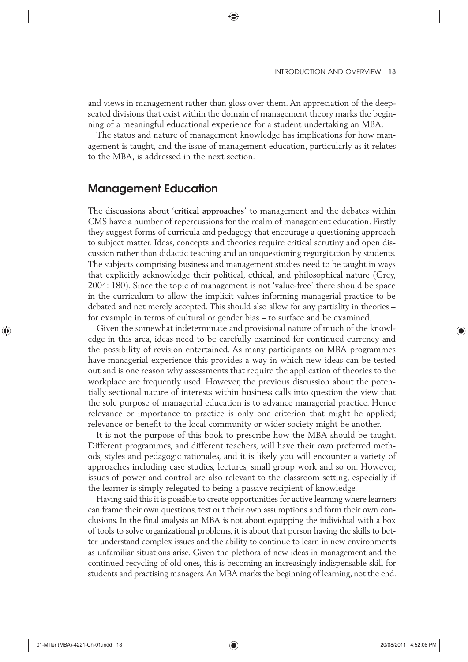and views in management rather than gloss over them. An appreciation of the deepseated divisions that exist within the domain of management theory marks the beginning of a meaningful educational experience for a student undertaking an MBA.

⊕

The status and nature of management knowledge has implications for how management is taught, and the issue of management education, particularly as it relates to the MBA, is addressed in the next section.

# **Management Education**

The discussions about '**critical approaches**' to management and the debates within CMS have a number of repercussions for the realm of management education. Firstly they suggest forms of curricula and pedagogy that encourage a questioning approach to subject matter. Ideas, concepts and theories require critical scrutiny and open discussion rather than didactic teaching and an unquestioning regurgitation by students. The subjects comprising business and management studies need to be taught in ways that explicitly acknowledge their political, ethical, and philosophical nature (Grey, 2004: 180). Since the topic of management is not 'value-free' there should be space in the curriculum to allow the implicit values informing managerial practice to be debated and not merely accepted. This should also allow for any partiality in theories – for example in terms of cultural or gender bias – to surface and be examined.

Given the somewhat indeterminate and provisional nature of much of the knowledge in this area, ideas need to be carefully examined for continued currency and the possibility of revision entertained. As many participants on MBA programmes have managerial experience this provides a way in which new ideas can be tested out and is one reason why assessments that require the application of theories to the workplace are frequently used. However, the previous discussion about the potentially sectional nature of interests within business calls into question the view that the sole purpose of managerial education is to advance managerial practice. Hence relevance or importance to practice is only one criterion that might be applied; relevance or benefit to the local community or wider society might be another.

It is not the purpose of this book to prescribe how the MBA should be taught. Different programmes, and different teachers, will have their own preferred methods, styles and pedagogic rationales, and it is likely you will encounter a variety of approaches including case studies, lectures, small group work and so on. However, issues of power and control are also relevant to the classroom setting, especially if the learner is simply relegated to being a passive recipient of knowledge.

Having said this it is possible to create opportunities for active learning where learners can frame their own questions, test out their own assumptions and form their own conclusions. In the final analysis an MBA is not about equipping the individual with a box of tools to solve organizational problems, it is about that person having the skills to better understand complex issues and the ability to continue to learn in new environments as unfamiliar situations arise. Given the plethora of new ideas in management and the continued recycling of old ones, this is becoming an increasingly indispensable skill for students and practising managers. An MBA marks the beginning of learning, not the end.

◈

♠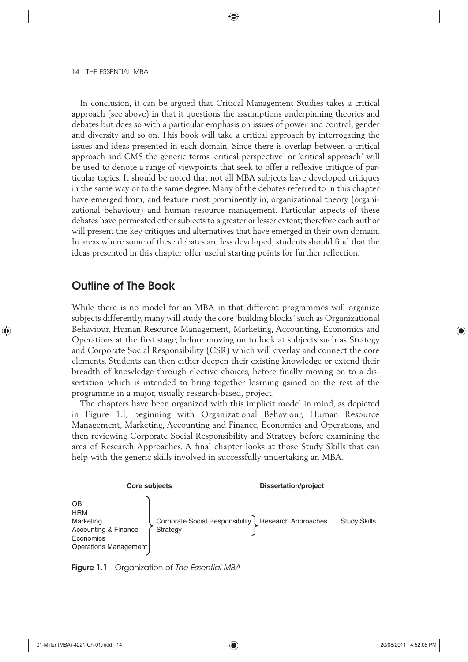In conclusion, it can be argued that Critical Management Studies takes a critical approach (see above) in that it questions the assumptions underpinning theories and debates but does so with a particular emphasis on issues of power and control, gender and diversity and so on. This book will take a critical approach by interrogating the issues and ideas presented in each domain. Since there is overlap between a critical approach and CMS the generic terms 'critical perspective' or 'critical approach' will be used to denote a range of viewpoints that seek to offer a reflexive critique of particular topics. It should be noted that not all MBA subjects have developed critiques in the same way or to the same degree. Many of the debates referred to in this chapter have emerged from, and feature most prominently in, organizational theory (organizational behaviour) and human resource management. Particular aspects of these debates have permeated other subjects to a greater or lesser extent; therefore each author will present the key critiques and alternatives that have emerged in their own domain. In areas where some of these debates are less developed, students should find that the ideas presented in this chapter offer useful starting points for further reflection.

♠

### **Outline of The Book**

◈

While there is no model for an MBA in that different programmes will organize subjects differently, many will study the core 'building blocks' such as Organizational Behaviour, Human Resource Management, Marketing, Accounting, Economics and Operations at the first stage, before moving on to look at subjects such as Strategy and Corporate Social Responsibility (CSR) which will overlay and connect the core elements. Students can then either deepen their existing knowledge or extend their breadth of knowledge through elective choices, before finally moving on to a dissertation which is intended to bring together learning gained on the rest of the programme in a major, usually research-based, project.

The chapters have been organized with this implicit model in mind, as depicted in Figure 1.l, beginning with Organizational Behaviour, Human Resource Management, Marketing, Accounting and Finance, Economics and Operations, and then reviewing Corporate Social Responsibility and Strategy before examining the area of Research Approaches. A final chapter looks at those Study Skills that can help with the generic skills involved in successfully undertaking an MBA.



**Figure 1.1** Organization of The Essential MBA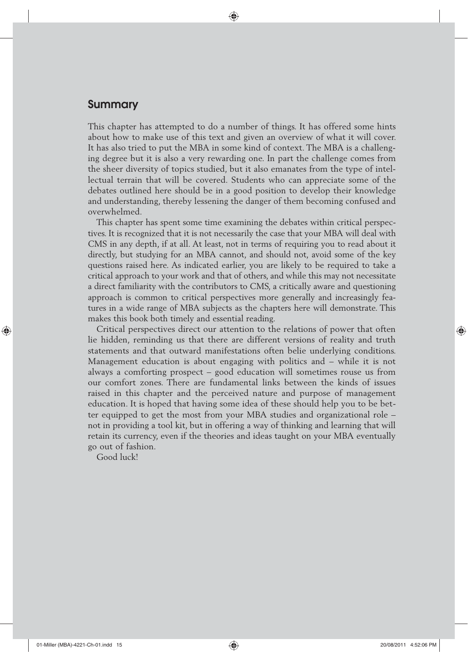### **Summary**

This chapter has attempted to do a number of things. It has offered some hints about how to make use of this text and given an overview of what it will cover. It has also tried to put the MBA in some kind of context. The MBA is a challenging degree but it is also a very rewarding one. In part the challenge comes from the sheer diversity of topics studied, but it also emanates from the type of intellectual terrain that will be covered. Students who can appreciate some of the debates outlined here should be in a good position to develop their knowledge and understanding, thereby lessening the danger of them becoming confused and overwhelmed.

This chapter has spent some time examining the debates within critical perspectives. It is recognized that it is not necessarily the case that your MBA will deal with CMS in any depth, if at all. At least, not in terms of requiring you to read about it directly, but studying for an MBA cannot, and should not, avoid some of the key questions raised here. As indicated earlier, you are likely to be required to take a critical approach to your work and that of others, and while this may not necessitate a direct familiarity with the contributors to CMS, a critically aware and questioning approach is common to critical perspectives more generally and increasingly features in a wide range of MBA subjects as the chapters here will demonstrate. This makes this book both timely and essential reading.

Critical perspectives direct our attention to the relations of power that often lie hidden, reminding us that there are different versions of reality and truth statements and that outward manifestations often belie underlying conditions. Management education is about engaging with politics and – while it is not always a comforting prospect – good education will sometimes rouse us from our comfort zones. There are fundamental links between the kinds of issues raised in this chapter and the perceived nature and purpose of management education. It is hoped that having some idea of these should help you to be better equipped to get the most from your MBA studies and organizational role – not in providing a tool kit, but in offering a way of thinking and learning that will retain its currency, even if the theories and ideas taught on your MBA eventually go out of fashion.

Good luck!

◈